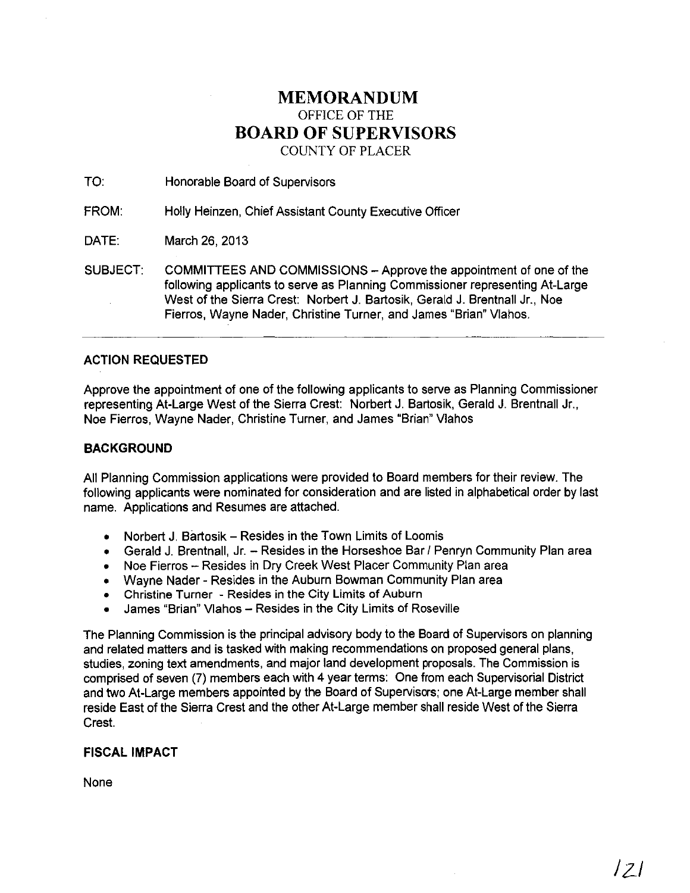# **MEMORANDUM** OFFICE OF THE **BOARD OF SUPERVISORS** COUNTY OF PLACER

TO: Honorable Board of Supervisors

FROM: Holly Heinzen, Chief Assistant County Executive Officer

DATE: March 26, 2013

SUBJECT: COMMITTEES AND COMMISSIONS - Approve the appointment of one of the following applicants to serve as Planning Commissioner representing At-Large West of the Sierra Crest: Norbert J. Bartosik, Gerald J. Brentnall Jr., Noe Fierros, Wayne Nader, Christine Turner, and James "Brian" Vlahos.

## ACTION REQUESTED

Approve the appointment of one of the following applicants to serve as Planning Commissioner representing At-Large West of the Sierra Crest: Norbert J. Bartosik, Gerald J. Brentnall Jr.. Noe Fierros, Wayne Nader, Christine Turner, and James "Brian" Vlahos

### **BACKGROUND**

All Planning Commission applications were provided to Board members for their review. The following applicants were nominated for consideration and are listed in alphabetical order by last name. Applications and Resumes are attached.

- Norbert J. Bartosik Resides in the Town Limits of Loomis
- Gerald J. Brentnall, Jr.  $-$  Resides in the Horseshoe Bar / Penryn Community Plan area
- Noe Fierros -- Resides in Dry Creek West Placer Community Plan area
- Wayne Nader Resides in the Auburn Bowman Community Plan area
- Christine Turner Resides in the City Limits of Auburn
- James "Brian" Vlahos Resides in the City Limits of Roseville

The Planning Commission is the principal advisory body to the Board of Supervisors on planning and related matters and is tasked with making recommendations on proposed general plans. studies, zoning text amendments, and major land development proposals. The Commission is comprised of seven (7) members each with 4 year terms: One from each Supervisorial District and two At-Large members appointed by the Board of Supervisors; one At-Large member shall reside East of the Sierra Crest and the other At-Large member shall reside West of the Sierra Crest.

## FISCAL **IMPACT**

None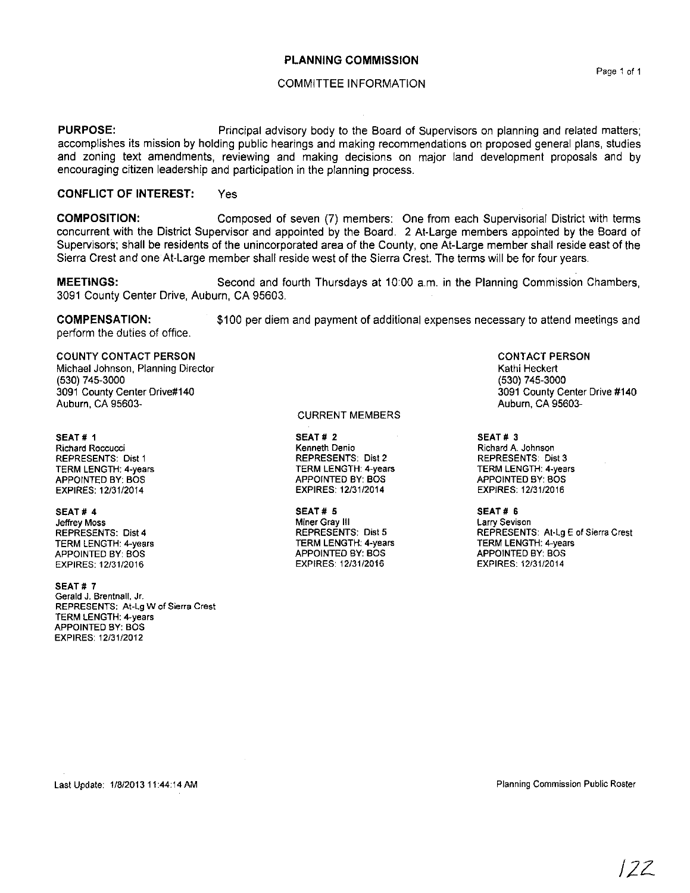#### **PLANNING COMMISSION**

#### COMMITTEE INFORMATION

**PURPOSE:** Principal advisory body to the Board of Supervisors on planning and related matters; accomplishes its mission by holding public hearings and making recommendations on proposed general plans, studies and zoning text amendments, reviewing and making decisions on major land development proposals and by encouraging citizen leadership and participation in the planning process.

#### **CONFLICT OF INTEREST:** Yes

**COMPOSITION:** Composed of seven (7) mennbers: One from each Supervisorial District with terms concurrent with the District Supervisor and appointed by the Board. 2 At-Large members appointed by the Board of Supervisors; shall be residents of the unincorporated area of the County, one At-Large member shall reside east of the Sierra Crest and one At-Large member shall reside west of the Sierra Crest. The terms will be for four years.

**MEETINGS:** Second and fourth Thursdays at 10:00 a.m. in the Planning Commission Chambers, 3091 County Center Drive, AUburn, CA 95603.

**COMPENSATION:** perform the duties of office. \$100 per diem and payment of additional expenses necessary to attend meetings and

#### COUNTY CONTACT PERSON

Michael Johnson, Planning Director (530) 745-3000 3091 County Center Drive#140 AUburn, CA 95603-

SEAT # 1 **Richard Roccucci** REPRESENTS: Dist 1 TERM LENGTH: 4-years APPOINTED BY: BOS EXPIRES: 12/3112014

#### SEAT# 4

**Jeffrey Moss** REPRESENTS: Dist 4 TERM LENGTH: 4-years APPOINTED BY: BOS EXPIRES: 1213112016

SEAT# 7 **Gerald J. Brentnalf, Jr. REPRESENTS; At-Lg W of Sierra Crest** TERM LENGTH: 4-years APPOINTED BY: BOS EXPIRES: 12/3112012

#### CURRENT MEMBERS

SEAT # 2 **Kenneth Denio** REPRESENTS: Dist 2 TERM LENGTH: 4-years APPOINTED BY: BOS EXPIRES: 12/31/2014

SEAT# 5 **Miner Gray III** REPRESENTS: Dist 5 TERM LENGTH: 4-years APPOINTED BY: BOS EXPIRES: 12/3112016

CONTACT PERSON Kathi Heckert (530) 745-3000 3091 County Center Drive #140 Auburn, CA 95603-

SEAT # 3 **Richard A. Johnson** REPRESENTS: Dist 3 TERM LENGTH: 4-years APPOINTED BY: BOS EXPIRES: 12/31/2016

SEAT# 6 **Larry Sevison** REPRESENTS: At-Lg E of Sierra Crest TERM LENGTH: 4-years APPOINTED BY: BOS EXPIRES: 12131/2014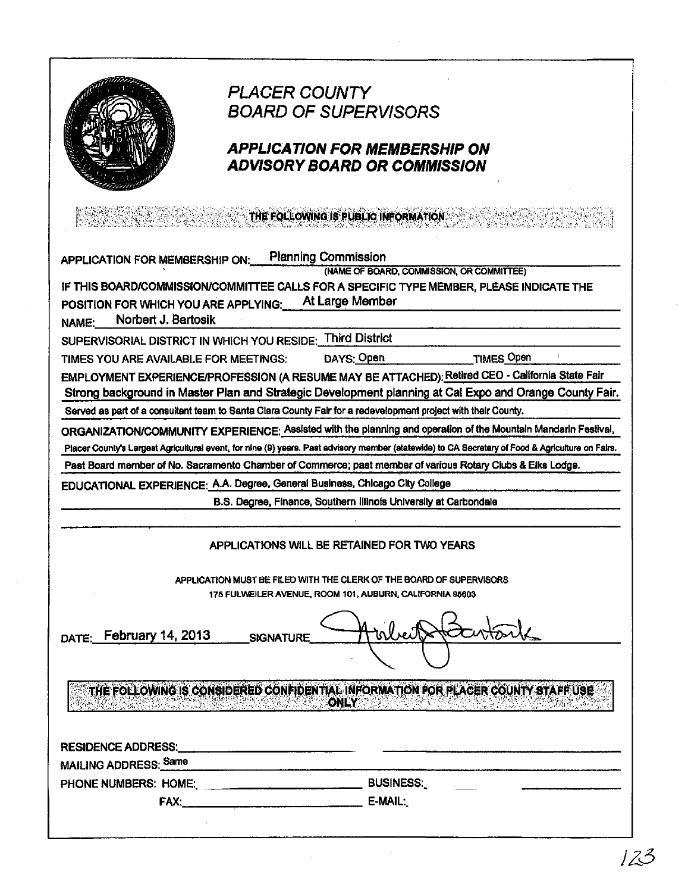

长感

# **PLACER COUNTY BOARD OF SUPERVISORS**

# **APPLICATION FOR MEMBERSHIP ON ADVISORY BOARD OR COMMISSION**

THE FOLLOWING IS PUBLIC INFORMATION

| APPLICATION FOR MEMBERSHIP ON:                                                                                |                                                                                                                | <b>Planning Commission</b> |                                                                  | (NAME OF BOARD, COMMISSION, OR COMMITTEE)                                                                                                        |
|---------------------------------------------------------------------------------------------------------------|----------------------------------------------------------------------------------------------------------------|----------------------------|------------------------------------------------------------------|--------------------------------------------------------------------------------------------------------------------------------------------------|
|                                                                                                               |                                                                                                                |                            |                                                                  | IF THIS BOARD/COMMISSION/COMMITTEE CALLS FOR A SPECIFIC TYPE MEMBER, PLEASE INDICATE THE                                                         |
| POSITION FOR WHICH YOU ARE APPLYING:                                                                          |                                                                                                                |                            | At Large Member                                                  |                                                                                                                                                  |
| Norbert J. Bartosik<br>NAME:                                                                                  |                                                                                                                |                            |                                                                  |                                                                                                                                                  |
| SUPERVISORIAL DISTRICT IN WHICH YOU RESIDE: Third District                                                    |                                                                                                                |                            |                                                                  |                                                                                                                                                  |
| TIMES YOU ARE AVAILABLE FOR MEETINGS:                                                                         |                                                                                                                |                            | DAYS: Open                                                       | <b>TIMES Open</b>                                                                                                                                |
|                                                                                                               |                                                                                                                |                            |                                                                  | EMPLOYMENT EXPERIENCE/PROFESSION (A RESUME MAY BE ATTACHED): Retired CEO - California State Fair                                                 |
|                                                                                                               |                                                                                                                |                            |                                                                  | Strong background in Master Plan and Strategic Development planning at Cal Expo and Orange County Fair.                                          |
| Served as part of a consultant team to Santa Clara County Fair for a redevelopment project with their County. |                                                                                                                |                            |                                                                  |                                                                                                                                                  |
|                                                                                                               |                                                                                                                |                            |                                                                  | ORGANIZATION/COMMUNITY EXPERIENCE: Assisted with the planning and operation of the Mountain Mandarin Festival,                                   |
|                                                                                                               |                                                                                                                |                            |                                                                  | Placer County's Largest Agricultural event, for nine (9) years. Past advisory member (statewide) to CA Secretary of Food & Agriculture on Fairs. |
|                                                                                                               |                                                                                                                |                            |                                                                  | Past Board member of No. Sacramento Chamber of Commerce; past member of various Rotary Clubs & Elks Lodge.                                       |
| EDUCATIONAL EXPERIENCE: A.A. Degree, General Business, Chicago City College                                   |                                                                                                                |                            |                                                                  |                                                                                                                                                  |
|                                                                                                               |                                                                                                                |                            | B.S. Degree, Finance, Southern Illinois University at Carbondale |                                                                                                                                                  |
|                                                                                                               |                                                                                                                |                            |                                                                  |                                                                                                                                                  |
|                                                                                                               |                                                                                                                |                            | APPLICATIONS WILL BE RETAINED FOR TWO YEARS                      |                                                                                                                                                  |
|                                                                                                               |                                                                                                                |                            |                                                                  | APPLICATION MUST BE FILED WITH THE CLERK OF THE BOARD OF SUPERVISORS                                                                             |
|                                                                                                               |                                                                                                                |                            | 175 FULWEILER AVENUE, ROOM 101, AUBURN, CALIFORNIA 95603         |                                                                                                                                                  |
| DATE: February 14, 2013                                                                                       |                                                                                                                | <b>SIGNATURE</b>           |                                                                  |                                                                                                                                                  |
|                                                                                                               |                                                                                                                |                            |                                                                  |                                                                                                                                                  |
|                                                                                                               |                                                                                                                |                            | ONLY                                                             | THE FOLLOWING IS CONSIDERED CONFIDENTIAL INFORMATION FOR PLACER COUNTY STAFF USE                                                                 |
|                                                                                                               |                                                                                                                |                            |                                                                  |                                                                                                                                                  |
| <b>RESIDENCE ADDRESS:</b>                                                                                     |                                                                                                                |                            |                                                                  |                                                                                                                                                  |
| MAILING ADDRESS: Same                                                                                         |                                                                                                                |                            |                                                                  |                                                                                                                                                  |
|                                                                                                               |                                                                                                                |                            | <b>BUSINESS.</b>                                                 |                                                                                                                                                  |
|                                                                                                               | FAX: PAX: POINT PAX: POINT PAX: POINT PAX: POINT PAX: POINT PAX: POINT PAX: POINT PAX: POINT PAX: POINT PAX: P |                            | E-MAIL:                                                          |                                                                                                                                                  |
|                                                                                                               |                                                                                                                |                            |                                                                  |                                                                                                                                                  |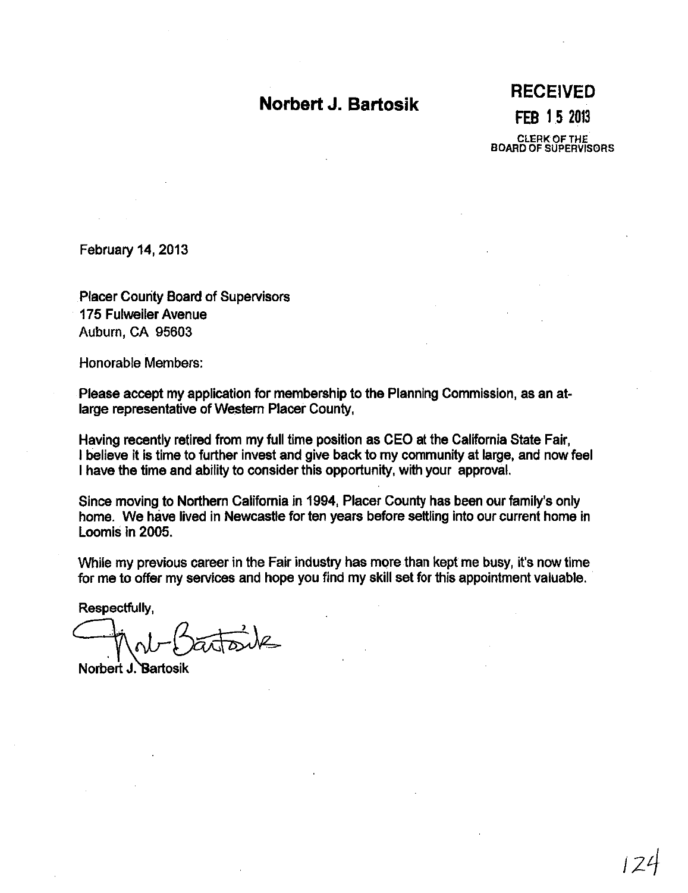# **Norbert J. Bartosik**

**RECEIVED FEB 15** 2013 CLERKOFTHE BOARD OF SUPERVISORS

February 14, 2013

Placer County Board of Supervisors 175 Fulweiler Avenue AUburn, CA 95603

Honorable Members:

Please accept my application for membership to the Planning Commission, as an atlarge representative of Western Placer County,

Having recently retired from my full time position as CEO at the California State Fair, I believe it is time to further invest and give back to my community at large, and now feel I have the time and ability to consider this opportunity, with your approval.

Since moving to Northern California in 1994, Placer County has been our family's only home. We have lived in Newcastle for ten years before settling into our current home in Loomis in 2005.

While my previous career in the Fair industry has more than kept me busy, it's now time for me to offer my services and hope you find my skill set for this appointment valuable.

Respectfully,

Respectfully,<br> $\bigcap_{N\cap I} \bigcap_{T\in I} \bigcap_{T\in I} \bigcup_{N\in I}$ 

Norbert J. Bartosik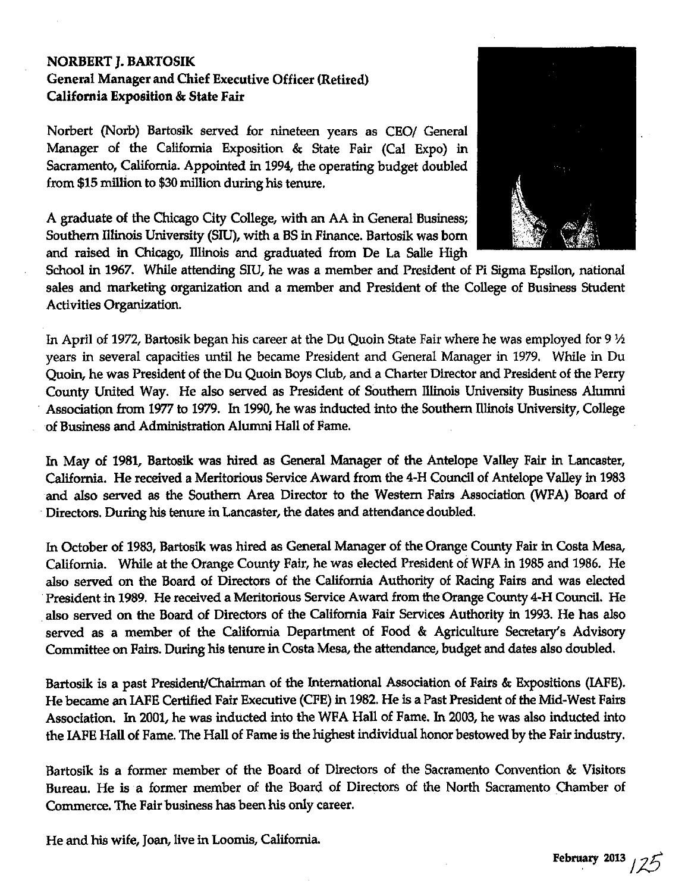# NORBERT ]. BARTOSIK General Manager and Chief Executive Officer (Retired) California Exposition &: State Fair

Norbert (Norb) Bartosik served for nineteen years as CEO/ General Manager of the California Exposition &: State Fair (Cal Expo) in Sacramento, California. Appointed in 1994, the operating budget doubled from \$15 million to \$30 million during his tenure.

A graduate of the Chicago City College, with an AA in General Business; Southern illinois University (SIU), with a BS in Finance. Bartosik was born and raised in Chicago, Illinois and graduated from De La Salle High



School in 1967. While attending SIU, he was a member and President of Pi Sigma Epsilon, national sales and marketing organization and a member and President of the College of Business Student Activities Organization.

In April of 1972, Bartosik began his career at the Du Quoin State Fair where he was employed for 9  $\mathcal{V}$ years in several capacities until he became President and General Manager in 1979. While in Du Quoin, he was President of the Du Quoin Boys Club, and a Charter Director and President of the Perry County United Way. He also served as President of Southern Illinois University Business Alumni Association from 1977 to 1979. In 1990, he was inducted into the Southern Illinois University, College of Business and Administration Alumni Hall of Fame.

In May of 1981, Bartosik was hired as General Manager of the Antelope Valley Fair in Lancaster, California. He received a Meritorious Service Award from the 4-H Council of Antelope Valley in 1983 and also served as the Southern Area Director to the Western Fairs Association (WFA) Board of . Directors. During his tenure in Lancaster, the dates and attendance doubled.

In October of 1983, Bartosik was hired as General Manager of the Orange County Fair in Costa Mesa, California. While at the Orange County Fair, he was elected President of WFA in 1985 and 1986. He also served on the Board of Directors of the California Authority of Racing Fairs and was elected President in 1989. He received a Meritorious Service Award from the Orange County 4-H Council. He also served on the Board of Directors of the California Fair Services Authority in 1993. He has also served as a member of the California Department of Food & Agriculture Secretary's Advisory Committee on Fairs. During his tenure in Costa Mesa, the attendance, budget and dates also doubled.

Bartosik is a past President/Chairman of the International Association of Fairs &: Expositions (IAFE). He became an IAFE Certified Fair Executive (CFE) in 1982. He is a Past President of the Mid-West Fairs Association. In 2001, he was inducted into the WFA Hall of Fame. In 2003, he was also inducted into the IAFE Hall of Fame. The Hall of Fame is the highest individual honor bestowed by the Fair industry.

Bartosik is a former member of the Board of Directors of the Sacramento Convention & Visitors Bureau. He is a former member of the Board of Directors of the North Sacramento Chamber of Commerce. The Fair business has been his only career.

He and his wife, Joan, live in Loomis, California.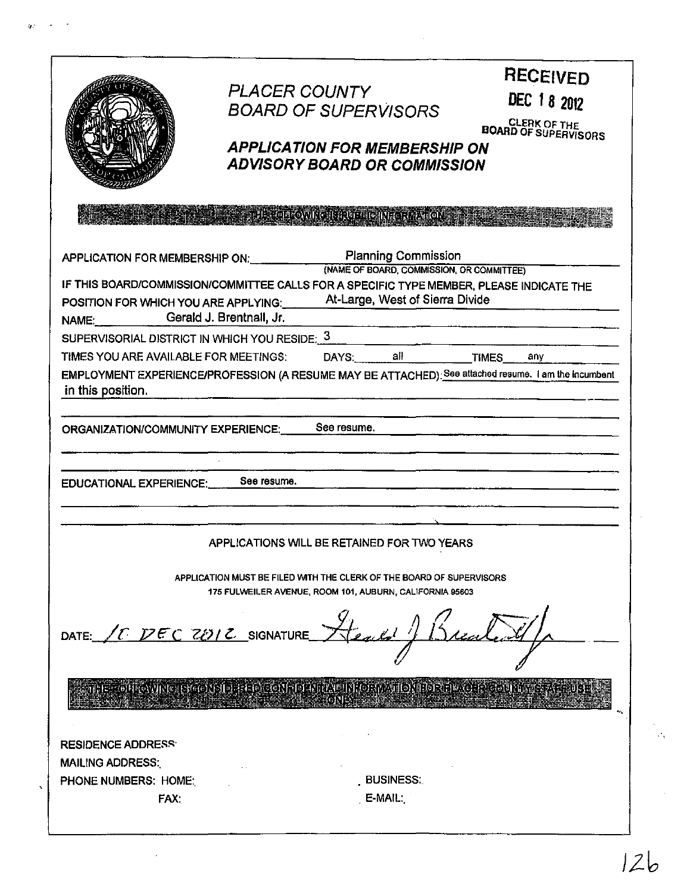|                                                                                                                                  | <b>PLACER COUNTY</b><br><b>BOARD OF SUPERVISORS</b><br><b>APPLICATION FOR MEMBERSHIP ON</b><br><b>ADVISORY BOARD OR COMMISSION</b> |                                 | <b>RECEIVED</b><br>DEC 18 2012<br><b>CLERK OF THE BOARD OF SUPERVISORS</b>                                  |
|----------------------------------------------------------------------------------------------------------------------------------|------------------------------------------------------------------------------------------------------------------------------------|---------------------------------|-------------------------------------------------------------------------------------------------------------|
|                                                                                                                                  | <b>The PERSON COMPLETED IN RONALDAY</b>                                                                                            |                                 |                                                                                                             |
| APPLICATION FOR MEMBERSHIP ON: Planning Commission<br>(NAME OF BOARD, COMMISSION, OR COMMITTEE)                                  |                                                                                                                                    |                                 |                                                                                                             |
| IF THIS BOARD/COMMISSION/COMMITTEE CALLS FOR A SPECIFIC TYPE MEMBER, PLEASE INDICATE THE<br>POSITION FOR WHICH YOU ARE APPLYING: |                                                                                                                                    | At-Large, West of Sierra Divide |                                                                                                             |
| NAME: Gerald J. Brentnall, Jr.                                                                                                   |                                                                                                                                    |                                 |                                                                                                             |
| SUPERVISORIAL DISTRICT IN WHICH YOU RESIDE: 3                                                                                    |                                                                                                                                    |                                 |                                                                                                             |
| TIMES YOU ARE AVAILABLE FOR MEETINGS:<br>in this position.                                                                       |                                                                                                                                    | DAYS: all TIMES                 | any<br>EMPLOYMENT EXPERIENCE/PROFESSION (A RESUME MAY BE ATTACHED): See attached resume. I am the incumbent |
| ORGANIZATION/COMMUNITY EXPERIENCE: See resume.<br><b>EDUCATIONAL EXPERIENCE:</b>                                                 | See resume.                                                                                                                        |                                 |                                                                                                             |
|                                                                                                                                  | APPLICATIONS WILL BE RETAINED FOR TWO YEARS                                                                                        |                                 |                                                                                                             |
|                                                                                                                                  | APPLICATION MUST BE FILED WITH THE CLERK OF THE BOARD OF SUPERVISORS<br>175 FULWEILER AVENUE, ROOM 101, AUBURN, CALIFORNIA 95603   |                                 |                                                                                                             |
| LE DEC 2012 SIGNATURE<br>DATE:                                                                                                   |                                                                                                                                    |                                 |                                                                                                             |
|                                                                                                                                  | THE COLLOWING IS CONSIDERED CONFIDENTIAL INFORMATION FOR HEAGER COUNTYSTAR FUSE                                                    |                                 |                                                                                                             |
| <b>RESIDENCE ADDRESS:</b>                                                                                                        |                                                                                                                                    |                                 |                                                                                                             |
| <b>MAILING ADDRESS:</b>                                                                                                          |                                                                                                                                    |                                 |                                                                                                             |
| PHONE NUMBERS: HOME:                                                                                                             |                                                                                                                                    | <b>BUSINESS:</b>                |                                                                                                             |
| FAX:                                                                                                                             |                                                                                                                                    | E-MAIL:                         |                                                                                                             |

 $\ddot{\phantom{0}}$ 

 $\hat{\boldsymbol{\beta}}$ 

 $12b$ 

 $\hat{\mathcal{C}}_k$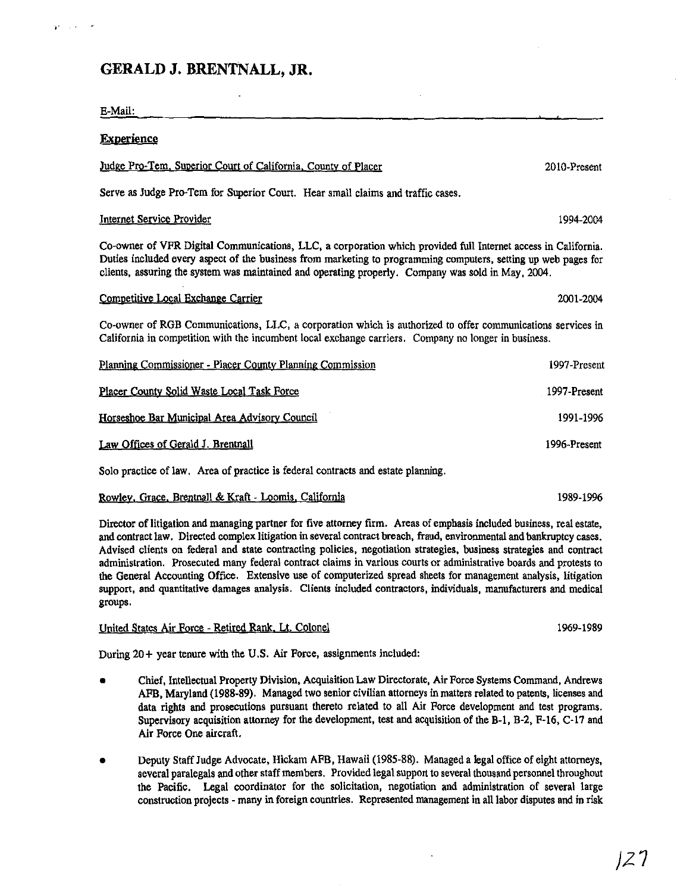# **GERALD J. BRENTNALL, JR.**

,.

 $\sim$ 

| 2010-Present                                                                                                                                                                                                                                                                                                                          |
|---------------------------------------------------------------------------------------------------------------------------------------------------------------------------------------------------------------------------------------------------------------------------------------------------------------------------------------|
|                                                                                                                                                                                                                                                                                                                                       |
| 1994-2004                                                                                                                                                                                                                                                                                                                             |
| Co-owner of VFR Digital Communications, LLC, a corporation which provided full Internet access in California.<br>Duties included every aspect of the business from marketing to programming computers, setting up web pages for<br>clients, assuring the system was maintained and operating properly. Company was sold in May, 2004. |
| 2001-2004                                                                                                                                                                                                                                                                                                                             |
| Co-owner of RGB Communications, LLC, a corporation which is authorized to offer communications services in<br>California in competition with the incumbent local exchange carriers. Company no longer in business.                                                                                                                    |
| 1997-Present                                                                                                                                                                                                                                                                                                                          |
| 1997-Present                                                                                                                                                                                                                                                                                                                          |
| 1991-1996                                                                                                                                                                                                                                                                                                                             |
| 1996-Present                                                                                                                                                                                                                                                                                                                          |
|                                                                                                                                                                                                                                                                                                                                       |
| 1989-1996                                                                                                                                                                                                                                                                                                                             |
|                                                                                                                                                                                                                                                                                                                                       |

Director of litigation and managing partner for five attorney firm. Areas of emphasis included business, real estate, and contract law. Directed complex litigation in several contract breach, fraud, environmental and bankruptcy cases. Advised clients on federal and state contracting policies, negotiation strategies, business strategies and contract administration. Prosecuted many federal contract claims in various courts or administrative boards and protests to the General Accounting Office. Extensive use of computerized spread sheets for management analysis, litigation support, and quantitative damages analysis. Clients included contractors, individuals, manufacturers and medical groups.

#### United States Air Force - Retired Rank, Lt. Colonel

During 20+ year tenure with the U.S. Air Force, assignments included:

- Chief, Intellectual Property Division. Acquisition Law Directorate, Air Force Systems Command. Andrews AFB, Maryland (1988-89). Managed two senior civilian attorneys in matters related to patents, licenses and data rights and prosecutions pursuant thereto related to all Air Force development and test programs. Supervisory acquisition attorney for the development, test and acquisition of the B-1, B-2, F-16, C-17 and Air Force One aircraft.
- Deputy Staff Judge Advocate, Hickam AFB, Hawaii (1985-88). Managed a legal office of eight attorneys, several paralegals and other staff members. Provided legalsupport to several thousand personnel throughout the Pacific. Legal coordinator for the solicitation, negotiation and administration of several large construction projects - many in foreign countries. Represented management in all labor disputes and in risk

1969-1989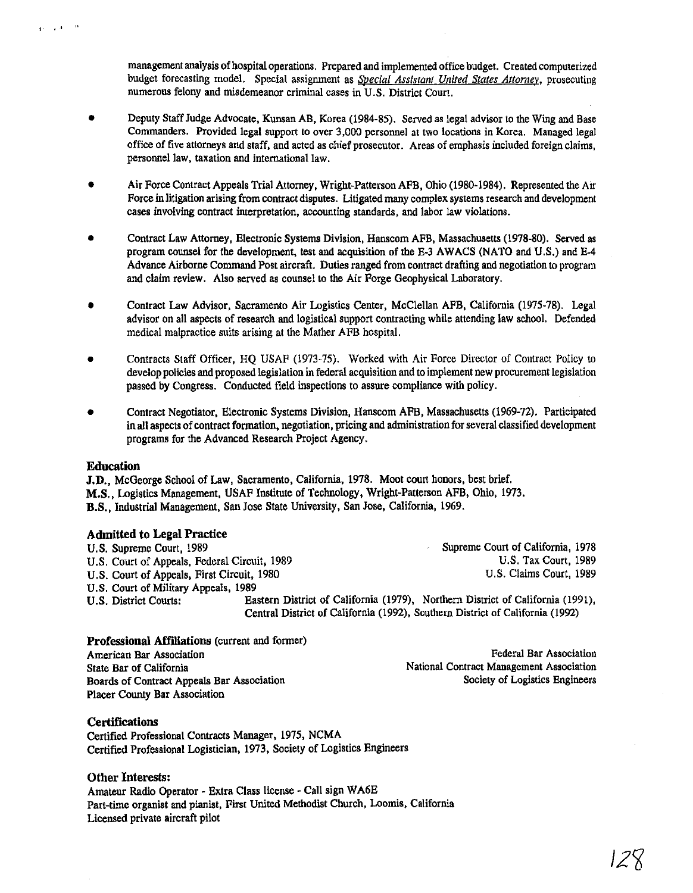management analysis of hospital operations. Prepared and implemented office budget. Created computerized budget forecasting model. Special assignment as *Special Assistant United States Attorney*, prosecuting numerous felony and misdemeanor criminal cases in U.S. District Court.

- Deputy Staff Judge Advocate, Kunsan AB, Korea (1984-85). Served as legal advisor to the Wing and Base Commanders. Provided legal support to over 3,000 personnel at two locations in Korea. Managed legal office of five attorneys and staff. and acted as chief prosecutor. Areas of emphasis included foreign claims, personnel law, taxation and international law.
- Air Force Contract Appeals Trial Attorney, Wright-Patterson AFB. Ohio (1980-1984). Represented the Air Force in litigation arising from contract disputes. Litigated many complex systems research and development cases involving contract interpretation. accounting standards, aud labor law violations.
- Contract Law Attorney, Electronic Systems Division, Hanscom AFB. Massachusetts (1978-80). Served as program counsel for the development. test and acqUisition of the E-3 AWACS (NATO and U.S.) and E-4 Advance Airborne Command Post aircraft. Duties ranged from contract drafting and negotiation to program and claim review. Also served as counsel to the Air Forge Geophysical Laboratory.
- Contract Law Advisor, Sacramento Air Logistics Center, McClellan AFB, California (1975-78). Legal advisor on all aspects of research and logistical support contracting wbile attending law school. Defended medical malpractice suits arising al the Mather AFB hospital.
- Contracts Staff Officer, HQ USAF (1973-75). Worked with Air Force Director of Contract Policy to develop policies and proposed legislation in federal acquisition and to implement new procurement legislation passed by Congress. Conducted field inspections to assure compliance with policy.
- Contract Negotiator. Electronic Systems Division, Hanscom AFB. Massachusetts (1969-72). Participated in all aspects of contract formation. negotiation, pricing and administration for several classified development programs for the Advanced Research Project Agency.

#### **Education**

l' •.,

**J.D...** McGeorge School of Law, Sacramento, California, 1978. Moot court honors, best brief. M.S., Logistics Management. USAF Institute of Technology. Wright-Patterson AFB. Ohio, 1973. B.S., Industrial Management, San Jose State University, San Jose. California, 1969.

#### **Admitted to Legal Practice**

| U.S. Supreme Court, 1989                     |                                                                                | Supreme Court of California, 1978 |
|----------------------------------------------|--------------------------------------------------------------------------------|-----------------------------------|
| U.S. Court of Appeals, Federal Circuit, 1989 |                                                                                | <b>U.S. Tax Court, 1989</b>       |
| U.S. Court of Appeals, First Circuit, 1980   |                                                                                | U.S. Claims Court, 1989           |
| U.S. Court of Military Appeals, 1989         |                                                                                |                                   |
| U.S. District Courts:                        | Eastern District of California (1979), Northern District of California (1991), |                                   |
|                                              | Central District of California (1992), Southern District of California (1992)  |                                   |

#### **Professional Affiliations** (current and former)

American Bar Association State Bar of California Boards of Contract Appeals Bar Association Placer County Bar Association

Federal Bar Associatiou National Contract Management Association Society of Logistics Engineers

## **Certifications**

Certified Professional Contracts Manager. 1975. NCMA Certified Professional Logistician. 1973. Society of Logistics Engineers

## **Other Interests:**

Amateur Radio Operator - Extra Class license - Call sign WA6E Part-time organist and pianist, First United Methodist Church, Loomis, California Licensed private aircraft pilot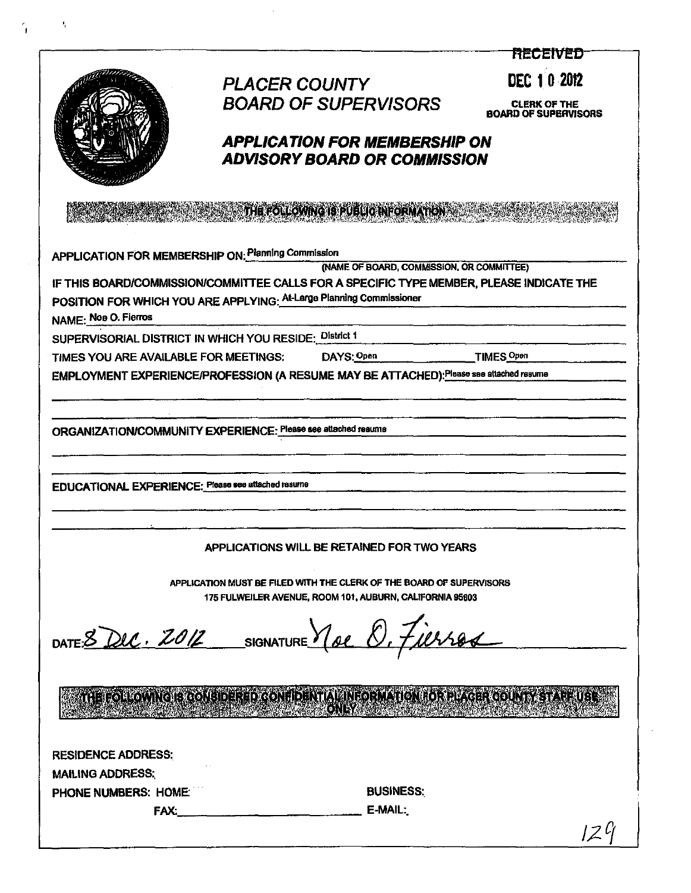|                                                                                          |                                                                                                                                  |                                           | 我是こどけたり                                            |
|------------------------------------------------------------------------------------------|----------------------------------------------------------------------------------------------------------------------------------|-------------------------------------------|----------------------------------------------------|
|                                                                                          | <b>PLACER COUNTY</b>                                                                                                             |                                           | DEC 10 2012                                        |
|                                                                                          | <b>BOARD OF SUPERVISORS</b>                                                                                                      |                                           |                                                    |
|                                                                                          |                                                                                                                                  |                                           | <b>CLERK OF THE</b><br><b>BOARD OF SUPERVISORS</b> |
|                                                                                          | <b>APPLICATION FOR MEMBERSHIP ON</b>                                                                                             |                                           |                                                    |
|                                                                                          | <b>ADVISORY BOARD OR COMMISSION</b>                                                                                              |                                           |                                                    |
|                                                                                          |                                                                                                                                  |                                           |                                                    |
|                                                                                          | THE FOLLOWING IS PUBLIC INFORMATION                                                                                              |                                           |                                                    |
| APPLICATION FOR MEMBERSHIP ON: Planning Commission                                       |                                                                                                                                  |                                           |                                                    |
| IF THIS BOARD/COMMISSION/COMMITTEE CALLS FOR A SPECIFIC TYPE MEMBER, PLEASE INDICATE THE |                                                                                                                                  | (NAME OF BOARD, COMMISSION, OR COMMITTEE) |                                                    |
| POSITION FOR WHICH YOU ARE APPLYING: At-Large Planning Commissioner                      |                                                                                                                                  |                                           |                                                    |
| NAME: Noe O. Fierros                                                                     |                                                                                                                                  |                                           |                                                    |
| SUPERVISORIAL DISTRICT IN WHICH YOU RESIDE: District 1                                   |                                                                                                                                  |                                           |                                                    |
| TIMES YOU ARE AVAILABLE FOR MEETINGS: DAYS: Open                                         |                                                                                                                                  |                                           | TIMES Open                                         |
| EMPLOYMENT EXPERIENCE/PROFESSION (A RESUME MAY BE ATTACHED): Please see attached resume  |                                                                                                                                  |                                           |                                                    |
|                                                                                          |                                                                                                                                  |                                           |                                                    |
| ORGANIZATION/COMMUNITY EXPERIENCE: Please see attached resume                            |                                                                                                                                  |                                           |                                                    |
| EDUCATIONAL EXPERIENCE: Please see attached resume                                       |                                                                                                                                  |                                           |                                                    |
|                                                                                          | APPLICATIONS WILL BE RETAINED FOR TWO YEARS                                                                                      |                                           |                                                    |
|                                                                                          | APPLICATION MUST BE FILED WITH THE CLERK OF THE BOARD OF SUPERVISORS<br>175 FULWEILER AVENUE, ROOM 101, AUBURN, CALIFORNIA 95603 |                                           |                                                    |
| DATE 8 Dec. 2012 SIGNATURE Y De O. Fierros                                               |                                                                                                                                  |                                           |                                                    |
|                                                                                          | ATHELEO HIGWINGI BIGONE I DER EDIGONI I DENTIAL HINI GEN ATION HOR ELAGER COUNTY STATE UBE.<br>ONNY                              |                                           |                                                    |
| <b>RESIDENCE ADDRESS:</b>                                                                |                                                                                                                                  |                                           |                                                    |
| <b>MAILING ADDRESS:</b>                                                                  |                                                                                                                                  |                                           |                                                    |
| PHONE NUMBERS: HOME:                                                                     |                                                                                                                                  | <b>BUSINESS:</b>                          |                                                    |
| FAX.                                                                                     |                                                                                                                                  | E-MAIL:                                   |                                                    |
|                                                                                          |                                                                                                                                  |                                           | 12 Y                                               |

 $\bar{\beta}$ 

 $\mathcal{L}^{\text{max}}$ 

 $\hat{A}$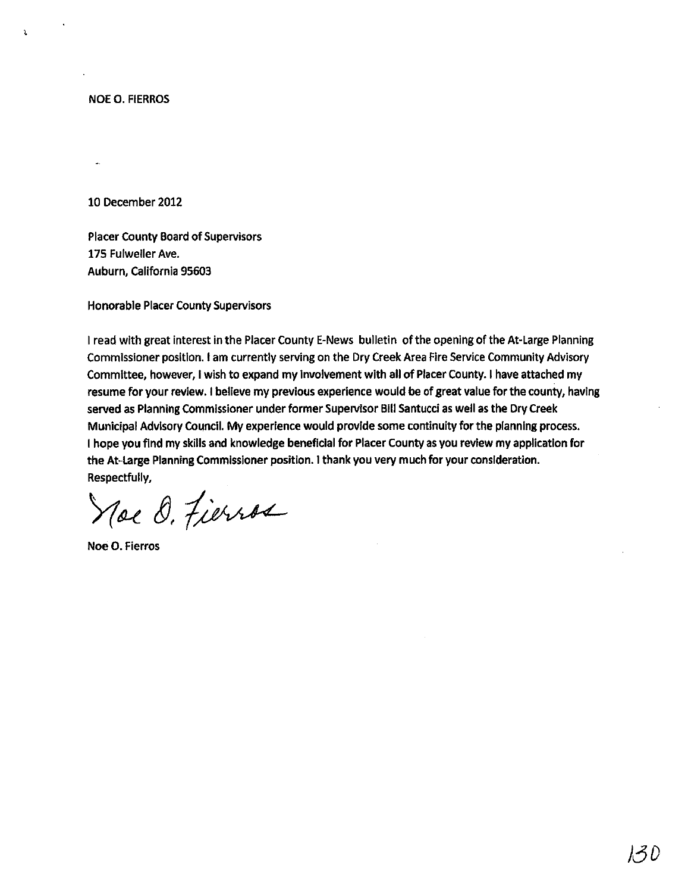NOE O. FIERROS

j,

10 December 2012

Placer County Board of Supervisors 175 Fulweller Ave. Auburn, California 95603

Honorable Placer County Supervisors

I read with great interest in the Placer County E-News bulletin of the opening of the At-Large Planning Commissioner position. I am currently serving on the Dry Creek Area Fire Service Community Advisory Committee, however, I wish to expand my Involvement with all of Placer COunty. I have attached my resume for your review. I believe my previous experience would be of great value for the county, having served as Planning Commissioner under former Supervisor Bill Santucci as well as the Dry Creek Municipal Advisory Council. My experience would provide some continuity for the planning process. I hope you find my skills and knowledge beneficial for Placer County as you review my application for the At-Large Planning Commissioner position. I thank you very much for your consideration. Respectfully,

Noe O. Fierros

Noe O. Fierros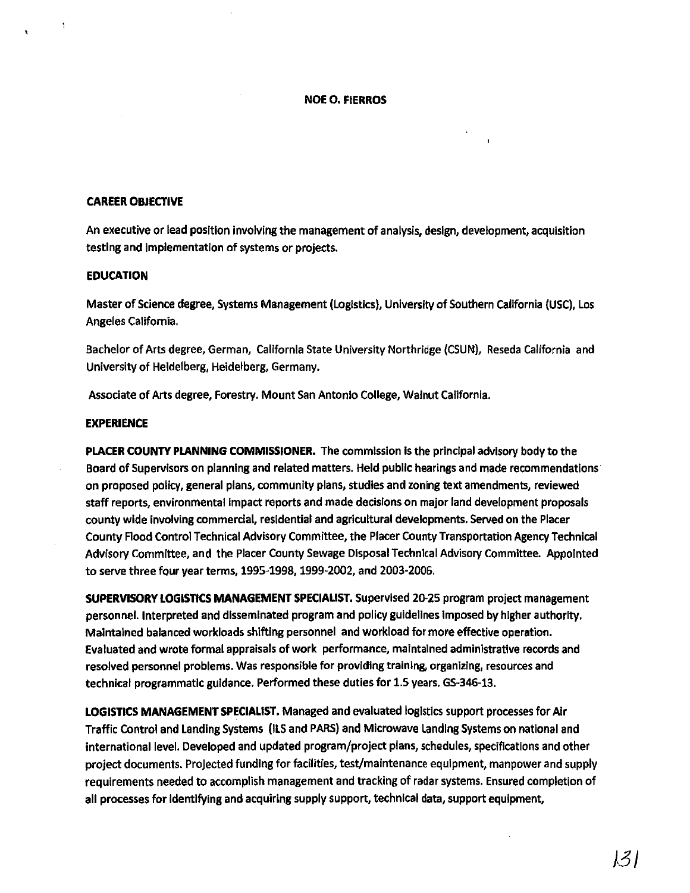#### **NOE O. FIERROS**

#### **CAREER OBJECTIVE**

An executive or lead position involving the management of analysis, design, development, acquisition testing and implementation of systems or projects.

#### **EDUCATION**

Master of Science degree, Systems Management (Logistics), University of Southern California (USC), Los Angeles California.

Bachelor of Arts degree, German, California State University Northridge (CSUN), Reseda California and University of Heidelberg, Heidelberg, Germany.

Associate of Arts degree, Forestry. Mount San Antonio College, Walnut California.

#### **EXPERIENCE**

**PLACER COUNTY PLANNING COMMISSIONER.** The commission Is the principal advisory body to the Board of Supervisors on planning and related matters. Held public hearings and made recommendations on proposed policy, general plans, community plans, studies and zoning text amendments, reviewed staff reports, environmental Impact reports and made decisions on major land development proposals county wide involving commercial, residential and agricultural developments. Served on the Placer County Flood Control Technical Advisory Committee, the Placer County Transportation Agency Technical Advisory Committee, and the Placer County Sewage Disposal Technical Advisory Committee. Appointed to serve three four year terms, 1995-1998. 1999-2002, and 2003-2005.

**SUPERVISORY LOGISTICS MANAGEMENT SPECIALIST.** Supervised 2()'25 program project management personnel. Interpreted and disseminated program and policy guidelines imposed by higher authority. Maintained balanced workloads shifting personnel and workload for more effective operation. Evaluated and wrote formal appraisals of work performance, maintained administrative records and resolved personnel problems. Was responsible for providing training, organizing, resources and technical programmatic guidance. Performed these duties for 1.5 years. GS-346-13.

**LOGISTICS MANAGEMENT SPECIALIST,** Managed and evaluated logistics support processes for Air Traffic Control and Landing Systems (llS and PARS) and Microwave Landing Systems on national and International level. Developed and updated program/project plans, schedules, specifications and other project documents. Projected funding for facilities, test/maintenance equipment, manpower and supply requirements needed to accomplish management and tracking of radar systems. Ensured completion of all processes for identifying and acquiring supply support, technical data, support equipment,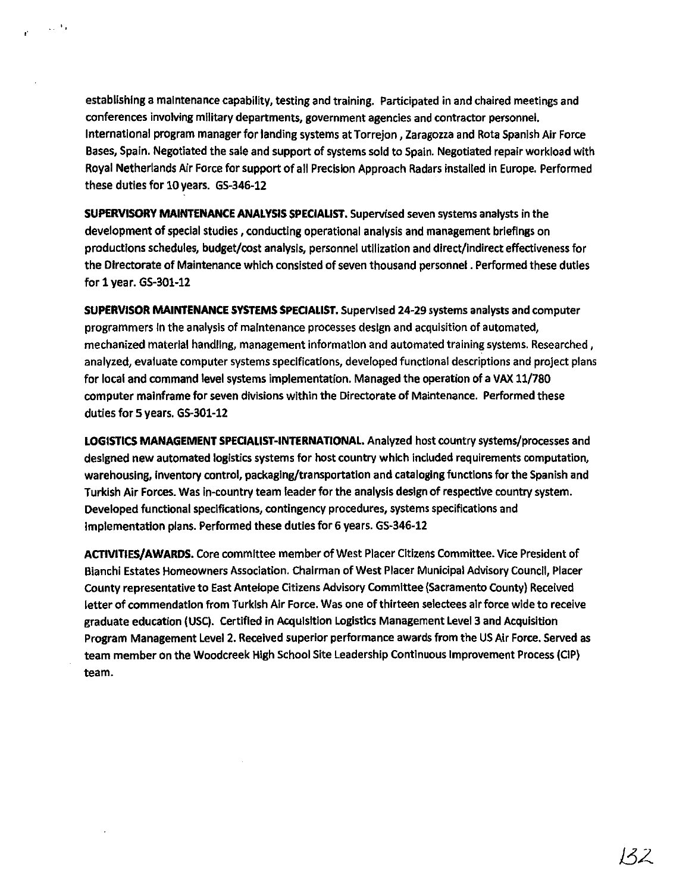establishing a maintenance capability, testing and training. Participated in and chaired meetings and conferences involving military departments, government agencies and contractor personnel. International program manager for landing systems at Torrejon, Zaragozza and Rota Spanish Air Force Bases, Spain. Negotiated the sale and support of systems sold to Spain. Negotiated repair workload with Royal Netherlands Air Force for support of all Precision Approach Radars installed in Europe. Performed these duties for 10 years. GS-346-12

 $\Delta\sim 20$ 

**SUPERVISORY MAINTENANCE ANALYSIS SPECIALIST.** Supervised seven systems analysts in the development of special studies, conducting operational analysis and management briefings on productions schedules, budget/cost analysis, personnel utilization and direct/indirect effectiveness for the Directorate of Maintenance which consisted of seven thousand personnel. Performed these duties for 1 year. GS-301-12

**SUPERVISOR MAINTENANCE SYSTEMS SPECIALIST.** Supervised 24-29 systems analysts and computer programmers in the analysis of maintenance processes design and acquisition of automated, mechanized material handling, management information and automated training systems. Researched, analyzed, evaluate computer systems specifications, developed functional descriptions and project plans for local and command level systems implementation. Managed the operation of a VAX 11/780 computer mainframe for seven divisions within the Directorate of Maintenance. Performed these duties for 5 years. G5-301-12

**LOGISTICS MANAGEMENT SPECIALIST-INTERNATIONAL.** Analyzed host country systems/processes and designed new automated logistics systems for host country which included requirements computation, warehousing, Inventory control, packaging/transportation and cataloging functions for the Spanish and Turkish Air Forces. Was in-country team leader for the analysis design of respective country system. Developed functional specifications, contingency procedures, systems specifications and implementation plans. Performed these duties for 6 years. GS-346-12

ACTIVITIES/AWARDS. Core committee member of West Placer Citizens Committee. Vice President of Bianchi Estates Homeowners Association. Chairman of West Placer Municipal Advisory Council, Placer County representative to East Antelope Citizens Advisory Committee (Sacramento County) Received letter of commendation from Turkish Air Force. Was one of thirteen selectees air force wide to receive graduate education (USC). certified in AcqUisition Logistics Management Level 3and Acquisition Program Management Level 2. Received superior performance awards from the US Air Force. Served as team member on the Woodcreek High School Site Leadership Continuous Improvement Process (CIP) team.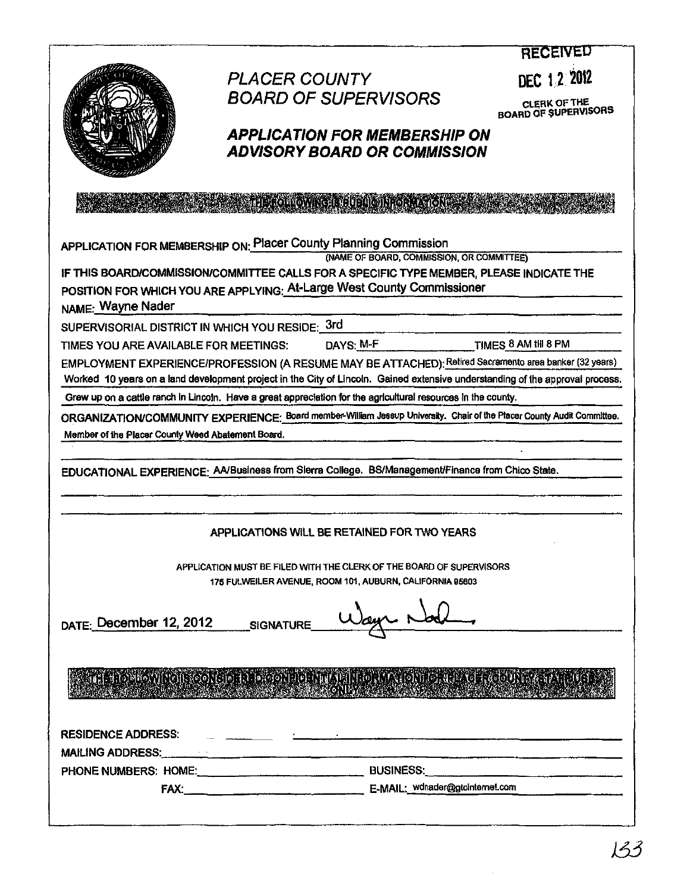|                                                                                                                                                                                                                                |                                                                                                                                                                                                    | <b>RECEIVEN</b>                      |
|--------------------------------------------------------------------------------------------------------------------------------------------------------------------------------------------------------------------------------|----------------------------------------------------------------------------------------------------------------------------------------------------------------------------------------------------|--------------------------------------|
|                                                                                                                                                                                                                                | <b>PLACER COUNTY</b>                                                                                                                                                                               | DEC 12 2012                          |
|                                                                                                                                                                                                                                | <b>BOARD OF SUPERVISORS</b>                                                                                                                                                                        |                                      |
|                                                                                                                                                                                                                                |                                                                                                                                                                                                    | CLERK OF THE<br>BOARD OF SUPERVISORS |
|                                                                                                                                                                                                                                | <b>APPLICATION FOR MEMBERSHIP ON</b>                                                                                                                                                               |                                      |
|                                                                                                                                                                                                                                | <b>ADVISORY BOARD OR COMMISSION</b>                                                                                                                                                                |                                      |
|                                                                                                                                                                                                                                |                                                                                                                                                                                                    |                                      |
|                                                                                                                                                                                                                                |                                                                                                                                                                                                    |                                      |
|                                                                                                                                                                                                                                |                                                                                                                                                                                                    |                                      |
|                                                                                                                                                                                                                                | APPLICATION FOR MEMBERSHIP ON: Placer County Planning Commission<br>(NAME OF BOARD, COMMISSION, OR COMMITTEE)                                                                                      |                                      |
|                                                                                                                                                                                                                                | IF THIS BOARD/COMMISSION/COMMITTEE CALLS FOR A SPECIFIC TYPE MEMBER, PLEASE INDICATE THE                                                                                                           |                                      |
|                                                                                                                                                                                                                                | POSITION FOR WHICH YOU ARE APPLYING: At-Large West County Commissioner                                                                                                                             |                                      |
| NAME: Wayne Nader                                                                                                                                                                                                              |                                                                                                                                                                                                    |                                      |
| SUPERVISORIAL DISTRICT IN WHICH YOU RESIDE: 3rd                                                                                                                                                                                |                                                                                                                                                                                                    |                                      |
| TIMES YOU ARE AVAILABLE FOR MEETINGS:                                                                                                                                                                                          | DAYS: M-F TIMES 8 AM till 8 PM                                                                                                                                                                     |                                      |
|                                                                                                                                                                                                                                | EMPLOYMENT EXPERIENCE/PROFESSION (A RESUME MAY BE ATTACHED): Retired Sacramento area banker (32 years)                                                                                             |                                      |
|                                                                                                                                                                                                                                | Worked 10 years on a land development project in the City of Lincoln. Gained extensive understanding of the approval process.                                                                      |                                      |
|                                                                                                                                                                                                                                | Grew up on a cattle ranch in Lincoln. Have a great appreciation for the agricultural resources in the county.                                                                                      |                                      |
| Member of the Placer County Weed Abatement Board.                                                                                                                                                                              | ORGANIZATION/COMMUNITY EXPERIENCE: Board member-William Jessup University. Chair of the Placer County Audit Committee.                                                                             |                                      |
|                                                                                                                                                                                                                                |                                                                                                                                                                                                    |                                      |
|                                                                                                                                                                                                                                | EDUCATIONAL EXPERIENCE: AA/Business from Slerra College. BS/Management/Finance from Chico State.                                                                                                   |                                      |
|                                                                                                                                                                                                                                |                                                                                                                                                                                                    |                                      |
|                                                                                                                                                                                                                                |                                                                                                                                                                                                    |                                      |
|                                                                                                                                                                                                                                | APPLICATIONS WILL BE RETAINED FOR TWO YEARS                                                                                                                                                        |                                      |
|                                                                                                                                                                                                                                |                                                                                                                                                                                                    |                                      |
|                                                                                                                                                                                                                                | APPLICATION MUST BE FILED WITH THE CLERK OF THE BOARD OF SUPERVISORS                                                                                                                               |                                      |
|                                                                                                                                                                                                                                | 175 FULWEILER AVENUE, ROOM 101, AUBURN, CALIFORNIA 95603                                                                                                                                           |                                      |
|                                                                                                                                                                                                                                |                                                                                                                                                                                                    |                                      |
| DATE: December 12, 2012                                                                                                                                                                                                        | SIGNATURE                                                                                                                                                                                          |                                      |
|                                                                                                                                                                                                                                |                                                                                                                                                                                                    |                                      |
|                                                                                                                                                                                                                                |                                                                                                                                                                                                    |                                      |
|                                                                                                                                                                                                                                | THE HOLDOWING IS CONSIDER LOGONING HYPRINICRIMAL QNI IGHAEL AGE ACOUNTY STATE USE<br>CONFACT THE CONSIDERED STATE OF THE CONFACT THE CONFACT OF THE CONFERENCE OF THE CONFERENCE OF THE CONFERENCE |                                      |
|                                                                                                                                                                                                                                |                                                                                                                                                                                                    |                                      |
| <b>RESIDENCE ADDRESS:</b>                                                                                                                                                                                                      |                                                                                                                                                                                                    |                                      |
| MAILING ADDRESS: And the contract of the contract of the contract of the contract of the contract of the contract of the contract of the contract of the contract of the contract of the contract of the contract of the contr |                                                                                                                                                                                                    |                                      |
|                                                                                                                                                                                                                                |                                                                                                                                                                                                    |                                      |
|                                                                                                                                                                                                                                |                                                                                                                                                                                                    |                                      |
|                                                                                                                                                                                                                                |                                                                                                                                                                                                    |                                      |
|                                                                                                                                                                                                                                |                                                                                                                                                                                                    |                                      |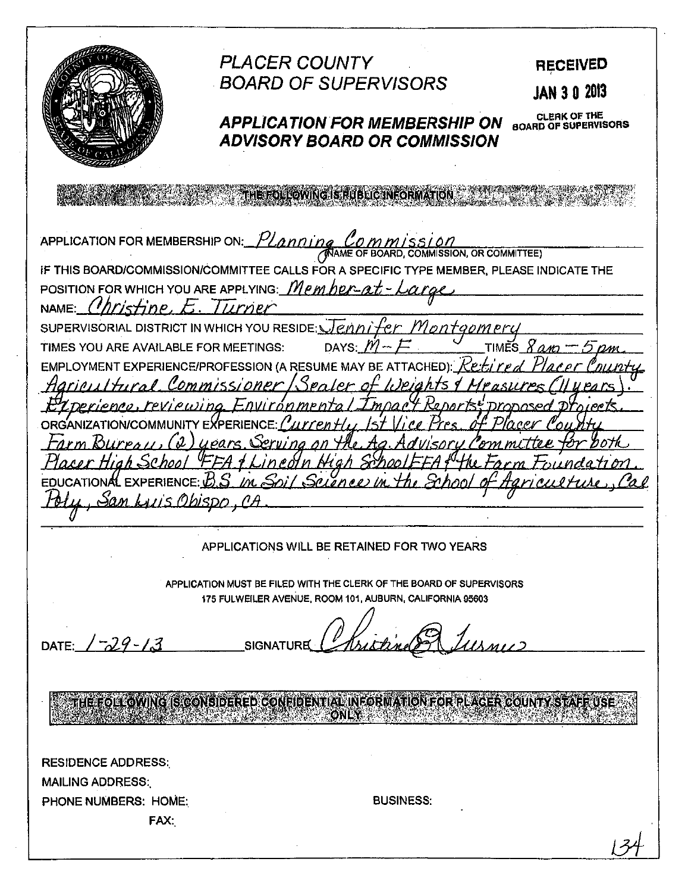**PLACER COUNTY RECEIVED BOARD OF SUPERVISORS JAN 3 0 2013** CLERK OF THE<br>BOARD OF SUPERVISORS **APPLICATION FOR MEMBERSHIP ON ADVISORY BOARD OR COMMISSION** THE FOLLOWING IS RUBLIC INFORMATION APPLICATION FOR MEMBERSHIP ON: Yanning MMISSION, OR COMMITTEE) IF THIS BOARD/COMMISSION/COMMITTEE CALLS FOR A SPECIFIC TYPE MEMBER, PLEASE INDICATE THE POSITION FOR WHICH YOU ARE APPLYING: Member-NAME:  $(Mn/s + inp)$ Iurner SUPERVISORIAL DISTRICT IN WHICH YOU RESIDE: Jenn TIMES YOU ARE AVAILABLE FOR MEETINGS: DAYS: EMPLOYMENT EXPERIENCE/PROFESSION (A RESUME MAY BE **ATTACHEDI** mmissioner pars EDUCATIONAL EXPERIENCE:  $\mathcal{B}\mathcal{S}$  $1/M$ 'رمڪ  $\mathcal{S}$ SDO... APPLICATIONS WILL BE RETAINED FOR TWO YEARS APPLICATION MUST BE FILED WITH THE CLERK OF THE BOARD OF SUPERVISORS 175 FULWEILER AVENUE, ROOM 101, AUBURN, CALIFORNIA 95603 DATE:  $1 - 29 - 13$ **SIGNATURE** THE FOLLOWING IS CONSIDERED CONFIDENTIAL INFORMATION FOR PLACER COUNTY STAFF USE ONLY **RESIDENCE ADDRESS: MAILING ADDRESS: BUSINESS:** PHONE NUMBERS: HOME: FAX: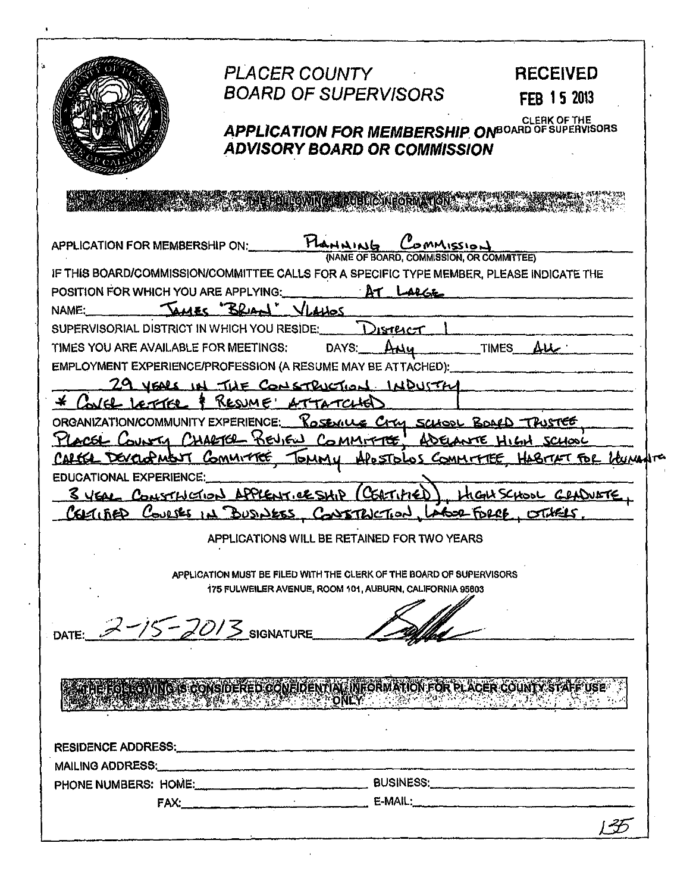|                                       | <b>PLACER COUNTY</b>                                                                                                                                                                                                                                                                                                                                                                      | <b>RECEIVED</b>                                               |
|---------------------------------------|-------------------------------------------------------------------------------------------------------------------------------------------------------------------------------------------------------------------------------------------------------------------------------------------------------------------------------------------------------------------------------------------|---------------------------------------------------------------|
|                                       | <b>BOARD OF SUPERVISORS</b>                                                                                                                                                                                                                                                                                                                                                               | FEB 15 2013                                                   |
|                                       |                                                                                                                                                                                                                                                                                                                                                                                           |                                                               |
|                                       | <b>APPLICATION FOR MEMBERSHIP ONBOARD OF SUPERVISORS</b>                                                                                                                                                                                                                                                                                                                                  |                                                               |
|                                       | <b>ADVISORY BOARD OR COMMISSION</b>                                                                                                                                                                                                                                                                                                                                                       |                                                               |
|                                       |                                                                                                                                                                                                                                                                                                                                                                                           |                                                               |
|                                       |                                                                                                                                                                                                                                                                                                                                                                                           |                                                               |
|                                       | APPLICATION FOR MEMBERSHIP ON: HAMMING Commission<br>(NAME OF BOARD, COMMISSION, OR COMMITTEE)                                                                                                                                                                                                                                                                                            |                                                               |
|                                       | IF THIS BOARD/COMMISSION/COMMITTEE CALLS FOR A SPECIFIC TYPE MEMBER, PLEASE INDICATE THE                                                                                                                                                                                                                                                                                                  |                                                               |
|                                       | POSITION FOR WHICH YOU ARE APPLYING: 2008                                                                                                                                                                                                                                                                                                                                                 |                                                               |
| NAME:                                 | JAMES "BRIAN" VLAHOS                                                                                                                                                                                                                                                                                                                                                                      |                                                               |
|                                       | District<br>SUPERVISORIAL DISTRICT IN WHICH YOU RESIDE:                                                                                                                                                                                                                                                                                                                                   |                                                               |
| TIMES YOU ARE AVAILABLE FOR MEETINGS: | DAYS: ANY                                                                                                                                                                                                                                                                                                                                                                                 | TIMES ALL                                                     |
|                                       | EMPLOYMENT EXPERIENCE/PROFESSION (A RESUME MAY BE ATTACHED):                                                                                                                                                                                                                                                                                                                              |                                                               |
|                                       | 29 VEARS IN THE CONSTRUCTION INDUSTRY                                                                                                                                                                                                                                                                                                                                                     |                                                               |
| Confel LETTER                         | P RESUME<br>ATTATCHE                                                                                                                                                                                                                                                                                                                                                                      |                                                               |
|                                       | ORGANIZATION/COMMUNITY EXPERIENCE: RosexILLE CITY SCLOOL BOARD TRUSTEE                                                                                                                                                                                                                                                                                                                    |                                                               |
|                                       | PLACEL COUNTY CHARTER BEVIEW COMMITTE ADELANTE HIGH SCHOOL                                                                                                                                                                                                                                                                                                                                |                                                               |
|                                       | CARECE DEVELOPMENT COMMITTEE TOMMU APOSTOLOS COMMITTEE HABITET FOR HUMANT                                                                                                                                                                                                                                                                                                                 |                                                               |
| <b>EDUCATIONAL EXPERIENCE:</b>        |                                                                                                                                                                                                                                                                                                                                                                                           |                                                               |
|                                       | <u>3 YEAL CONSTLUCTION APPLENTICE SHIP (CERTIFIED)</u><br>GETLEED COULSES IN BUSINESS CONSTRUCTION LABOR FORCE, OTHELS.                                                                                                                                                                                                                                                                   | HIGH SCHOOL CRADUATE                                          |
|                                       | APPLICATIONS WILL BE RETAINED FOR TWO YEARS                                                                                                                                                                                                                                                                                                                                               |                                                               |
|                                       |                                                                                                                                                                                                                                                                                                                                                                                           |                                                               |
|                                       | APPLICATION MUST BE FILED WITH THE CLERK OF THE BOARD OF SUPERVISORS                                                                                                                                                                                                                                                                                                                      |                                                               |
|                                       | 175 FULWEILER AVENUE, ROOM 101, AUBURN, CALIFORNIA 95603                                                                                                                                                                                                                                                                                                                                  |                                                               |
|                                       |                                                                                                                                                                                                                                                                                                                                                                                           |                                                               |
| DATE: $2-15-2013$ SIGNATURE           |                                                                                                                                                                                                                                                                                                                                                                                           |                                                               |
|                                       |                                                                                                                                                                                                                                                                                                                                                                                           |                                                               |
|                                       |                                                                                                                                                                                                                                                                                                                                                                                           |                                                               |
|                                       | THE FOLLOWING IS CONSIDERED CONFIDENTIAL INFORMATION FOR PLACER COUNTY STAFF USE                                                                                                                                                                                                                                                                                                          |                                                               |
|                                       | <b>THE REPAIR FOR THE TABLE TO BE TO THE TO THE TO</b>                                                                                                                                                                                                                                                                                                                                    | <u>NASE E POTENTIALE NA MARTINE DE METRO E PORTE E POPULA</u> |
|                                       |                                                                                                                                                                                                                                                                                                                                                                                           |                                                               |
|                                       | RESIDENCE ADDRESS:                                                                                                                                                                                                                                                                                                                                                                        |                                                               |
|                                       |                                                                                                                                                                                                                                                                                                                                                                                           |                                                               |
|                                       | PHONE NUMBERS: HOME: COME COMPARENT BUSINESS:                                                                                                                                                                                                                                                                                                                                             |                                                               |
|                                       | $FAX;$ $\qquad \qquad \qquad \qquad$ $\qquad \qquad \qquad$ $\qquad \qquad$ $\qquad \qquad$ $\qquad \qquad$ $\qquad \qquad$ $\qquad \qquad$ $\qquad \qquad$ $\qquad \qquad$ $\qquad \qquad$ $\qquad \qquad$ $\qquad \qquad$ $\qquad \qquad$ $\qquad \qquad$ $\qquad \qquad$ $\qquad$ $\qquad \qquad$ $\qquad$ $\qquad$ $\qquad$ $\qquad$ $\qquad$ $\qquad$ $\qquad$ $\qquad$ $\qquad$ $\$ |                                                               |
|                                       |                                                                                                                                                                                                                                                                                                                                                                                           |                                                               |
|                                       |                                                                                                                                                                                                                                                                                                                                                                                           |                                                               |

 $\hat{\mathbf{r}}$ 

 $\mathbb{R}^2$ 

 $\hat{\mathbf{r}}$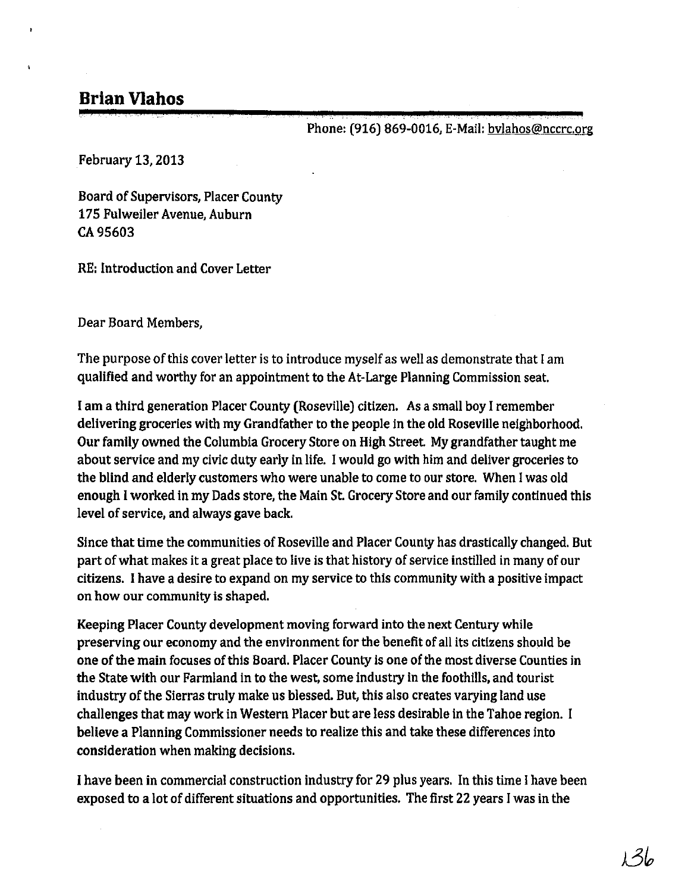# **Brian Vlahos**

Phone: (916) 869-0016, E-Mail: bvlahos@nccrc.org

February 13, 2013

Board of Supervisors, Placer County 175 Fulweiler Avenue, Auburn CA 95603

RE: Introduction and Cover Letter

Dear Board Members,

The purpose of this cover letter is to introduce myself as well as demonstrate that I am qualified and worthy for an appointment to the At-Large Planning Commission seat.

I am a third generation Placer County (Roseville) citizen. As a small boy Iremember delivering groceries with my Grandfather to the people in the old Roseville neighborhood. Our family owned the Columbia Grocery Store on High Street. My grandfather taught me about service and my civic duty early in life. Iwould go with him and deliver groceries to the blind and elderly customers who were unable to come to our store. When Iwas old enough Iworked in my Dads store, the Main St. Grocery Store and our family continued this level of service, and always gave back.

Since that time the communities of Roseville and Placer County has drastically changed. But part of what makes it a great place to live is that history of service instilled in many of our citizens. I have a desire to expand on my service to this community with a positive impact on how our community is shaped.

Keeping Placer County development moving forward into the next Century while preserving our economy and the environment for the benefit of all its citizens should be one of the main focuses of this Board. Placer County is one of the most diverse Counties in the State with our Farmland in to the west, some Industry in the foothills, and tourist industry of the Sierras truly make us blessed. But, this also creates varying land use challenges that may work in Western Placer but are less desirable in the Tahoe region. I believe a Planning Commissioner needs to realize this and take these differences into consideration when making decisions.

I have been in commercial construction industry for 29 plus years. In this time Ihave been exposed to a lot of different situations and opportunities. The first 22 years I was in the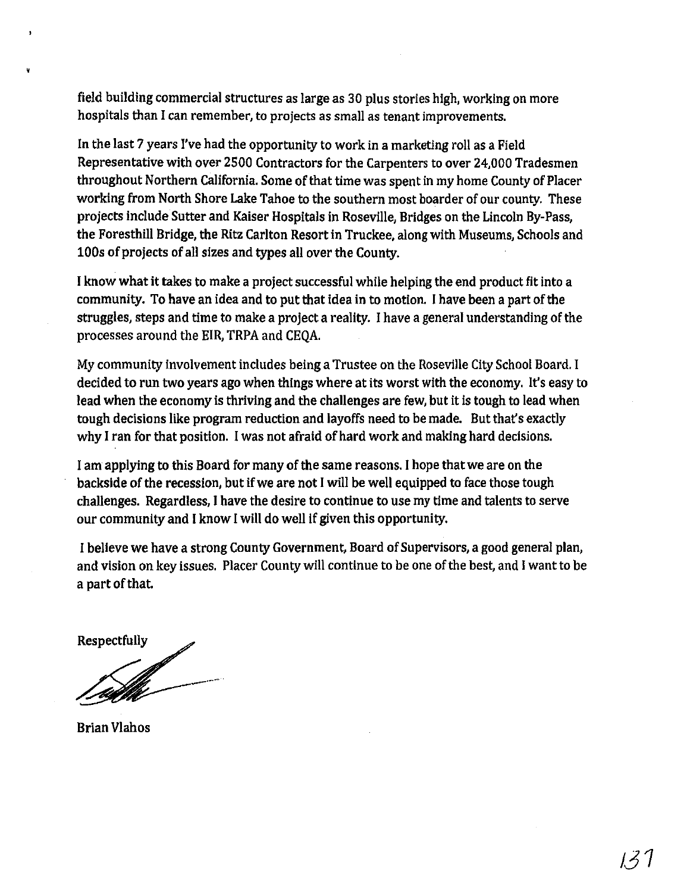field building commercial structures as large as 30 plus stories high, working on more hospitals than I can remember, to projects as small as tenant improvements.

In the last 7 years I've had the opportunity to work in a marketing roll as a Field Representative with over 2500 Contractors for the Carpenters to over 24,000 Tradesmen throughout Northern California. Some of that time was spent in my home County of Placer working from North Shore Lake Tahoe to the southern most boarder of our county. These projects include Sutter and Kaiser Hospitals in Roseville, Bridges on the Lincoln By-Pass, the Foresthill Bridge, the Ritz Carlton Resort in Truckee, along with Museums, Schools and 100s of projects of all sizes and types all over the County.

I know what it takes to make a project successful while helping the end product fit into a community. To have an idea and to put that idea in to motion. I have been a part of the struggles, steps and time to make a project a reality. I have a general understanding of the processes around the EIR, TRPA and CEQA.

My community involvement includes being a Trustee on the Roseville City School Board. I decided to run two years ago when things where at its worst with the economy. It's easy to lead when the economy is thriving and the challenges are few, but it is tough to lead when tough decisions like program reduction and layoffs need to be made. But that's exactly why I ran for that position. I was not afraid of hard work and making hard decisions.

I am applying to this Board for many of the same reasons. I hope that we are on the backside of the recession, but if we are not I will be well equipped to face those tough challenges. Regardless, I have the desire to continue to use my time and talents to serve our community and I know Iwill do well if given this opportunity.

I believe we have a strong County Government, Board of Supervisors, a good general plan, and vision on key issues. Placer County will continue to be one of the best, and I want to be a part of that.

Respectfully

Brian Vlahos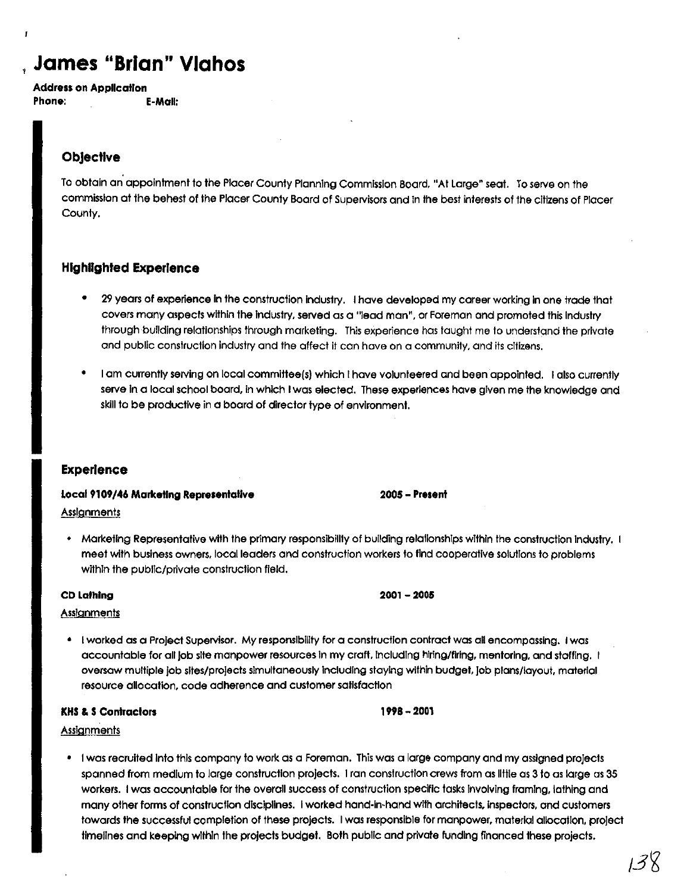# , **James "Brian" Vlahos**

Address on Application Phone: E-Mail:

## **Objective**

F

To obtain an appointment to the Placer County Planning Commission Board. "At large" seat. To serve on the commission at the behest of the Placer County Board of Supervisors and In the best interests of the citizens of Placer County.

## Highlighted Experience

- 29 years of experience in the construction industry. I have developed my career working in one trade that covers many aspects within the Industry, served as a "lead man". or Foreman and promoted this Industry through building relationships through marketing. This experience has taught me to understand the private and public construction industry and the affect it can have on a community, and its citizens.
- I am currently serving on local commlttee(s) which I have volunteered and been appointed. I also currenlly serve In a local school board, in which Iwas elected. These experiences have given me the knowledge and sklll to be productive in a board of director type of environment.

## Experience

Local 9109/46 Marketing Representallve

**Assignments** 

• Marketing Representative with the primary responsibility of building relallonshlps within the construction Industry. I meet with business owners. local leaders and construction workers to tlnd cooperative solutions to problems within the public/private construction field.

#### CD Lathing

#### **Assignments**

• I worked as a Project Supervisor. My responslbillty for a construcllon contract was all encompassing. I was accountable for all job site manpower resources in my craft, including hiring/firing, mentoring, and staffing. I oversaw multiple job sites/proJects simultaneously Including staying within budget, job plans/layout. material resource allocation. code adherence and customer satisfaction

#### **KHS & S Contractors**

#### **Assignments**

• I was recruited Into this company to work as a Foreman. This was a large company and my assigned projects spanned from medium to large construction projects. Iran construction crews from as little as 3 to as large as 35 workers. I was accountable for the overall success of construction specific tasks involving framing, lathing and many other forms of construction disciplines. Iwarked hand-In-hand with architects. Inspectors. and customers towards the successful completion of these projects. I was responsible for manpower. matenal allocation. project tlmellnes and keeping within the projects budget. Both public and private funding financed these projects.

## 2005 - Present

# 1998-2001

2001-2005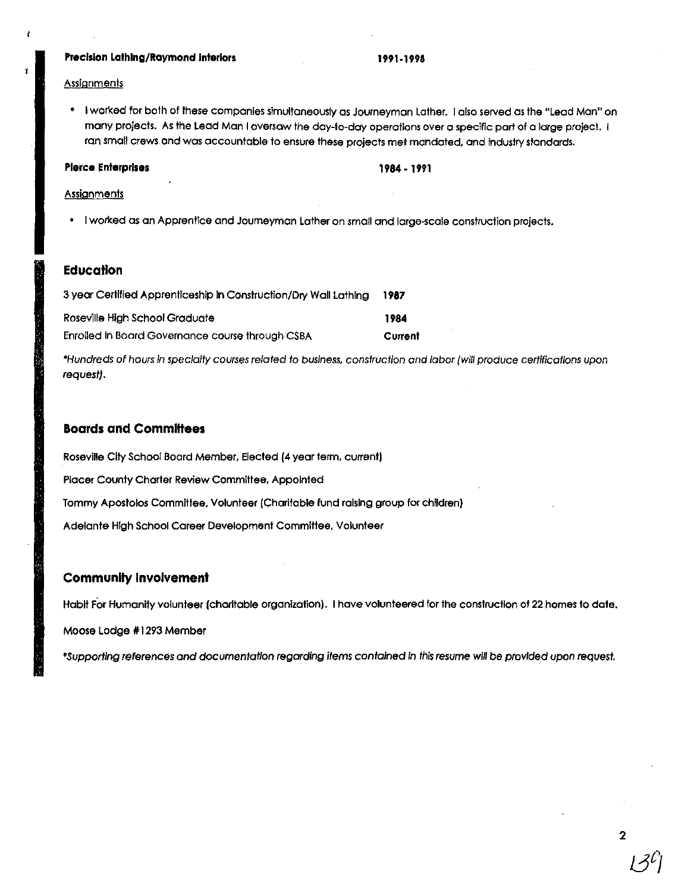#### **Precision Lothlng/RQymond Interiors**

#### **1991·1998**

#### **Assignments**

 $\epsilon$ 

• Iworked for both of these companies simultaneously as Joumeyman lather. I also served as the "lead Man" on many projects. As the Lead Man I oversaw the day-to-day operations over a specific part of a large project. I ran small crews and was accountable to ensure these projects met mandated. and Industry standards.

#### **Pierce Enterprises**

#### **1984·1991**

#### **Assignments**

• Iworked as an Apprentice and Joumeyman lather on small and large-scale construction projects.

#### **EducaHon**

| 3 year Certified Apprenticeship in Construction/Dry Wall Lathing |         |  |
|------------------------------------------------------------------|---------|--|
| Roseville High School Graduate                                   | 1984    |  |
| Enrolled in Board Governance course through CSBA                 | Current |  |

'Hundreds of hours In specialty courses related to business. construction and labor {will produce certifications upon request}.

#### **Boards and Committees**

Roseville City School Board Member. Elected **(4** year term. current) Placer County Charter Review Committee. Appointed Tommy Apostolos Committee. Volunteer {Charitable fund raising group for children} Adelante High School Career Development Committee. Volunteer

#### **Community Involvement**

Habit For Humanity volunteer (charitable organization). I have volunteered for the construction of 22 homes to date.

Moose Lodge #1293 Member

'Supportlng references and documentation regarding items contained In this resume will be provided upon requesf.